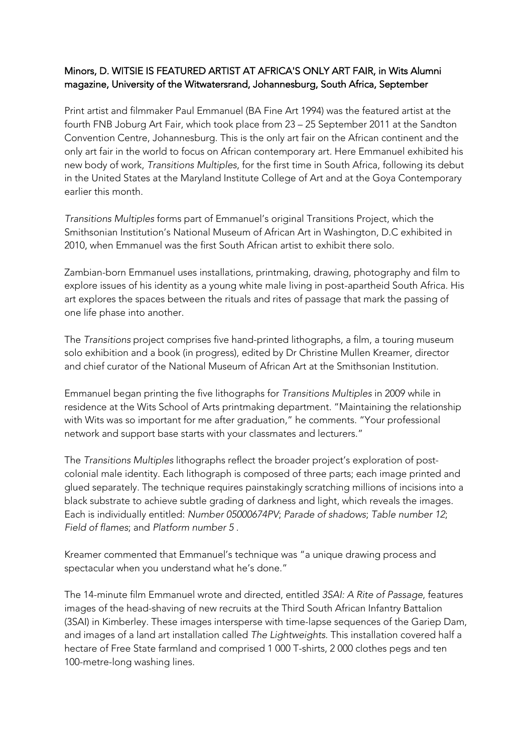## Minors, D. WITSIE IS FEATURED ARTIST AT AFRICA'S ONLY ART FAIR, in Wits Alumni magazine, University of the Witwatersrand, Johannesburg, South Africa, September

Print artist and filmmaker Paul Emmanuel (BA Fine Art 1994) was the featured artist at the fourth FNB Joburg Art Fair, which took place from 23 – 25 September 2011 at the Sandton Convention Centre, Johannesburg. This is the only art fair on the African continent and the only art fair in the world to focus on African contemporary art. Here Emmanuel exhibited his new body of work, *Transitions Multiples*, for the first time in South Africa, following its debut in the United States at the Maryland Institute College of Art and at the Goya Contemporary earlier this month.

*Transitions Multiples* forms part of Emmanuel's original Transitions Project, which the Smithsonian Institution's National Museum of African Art in Washington, D.C exhibited in 2010, when Emmanuel was the first South African artist to exhibit there solo.

Zambian-born Emmanuel uses installations, printmaking, drawing, photography and film to explore issues of his identity as a young white male living in post-apartheid South Africa. His art explores the spaces between the rituals and rites of passage that mark the passing of one life phase into another.

The *Transitions* project comprises five hand-printed lithographs, a film, a touring museum solo exhibition and a book (in progress), edited by Dr Christine Mullen Kreamer, director and chief curator of the National Museum of African Art at the Smithsonian Institution.

Emmanuel began printing the five lithographs for *Transitions Multiples* in 2009 while in residence at the Wits School of Arts printmaking department. "Maintaining the relationship with Wits was so important for me after graduation," he comments. "Your professional network and support base starts with your classmates and lecturers."

The *Transitions Multiples* lithographs reflect the broader project's exploration of postcolonial male identity. Each lithograph is composed of three parts; each image printed and glued separately. The technique requires painstakingly scratching millions of incisions into a black substrate to achieve subtle grading of darkness and light, which reveals the images. Each is individually entitled: *Number 05000674PV*; *Parade of shadows*; *Table number 12*; *Field of flames*; and *Platform number 5* .

Kreamer commented that Emmanuel's technique was "a unique drawing process and spectacular when you understand what he's done."

The 14-minute film Emmanuel wrote and directed, entitled *3SAI: A Rite of Passage*, features images of the head-shaving of new recruits at the Third South African Infantry Battalion (3SAI) in Kimberley. These images intersperse with time-lapse sequences of the Gariep Dam, and images of a land art installation called *The Lightweights*. This installation covered half a hectare of Free State farmland and comprised 1 000 T-shirts, 2 000 clothes pegs and ten 100-metre-long washing lines.